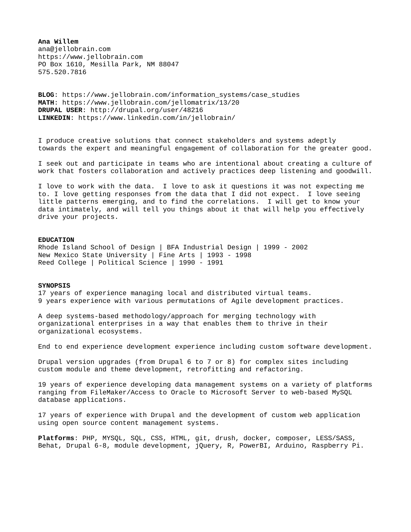**Ana Willem** ana@jellobrain.com https://www.jellobrain.com PO Box 1610, Mesilla Park, NM 88047 575.520.7816

**BLOG**: https://www.jellobrain.com/information\_systems/case\_studies **MATH**: https://www.jellobrain.com/jellomatrix/13/20 **DRUPAL USER**: http://drupal.org/user/48216 **LINKEDIN**: https://www.linkedin.com/in/jellobrain/

I produce creative solutions that connect stakeholders and systems adeptly towards the expert and meaningful engagement of collaboration for the greater good.

I seek out and participate in teams who are intentional about creating a culture of work that fosters collaboration and actively practices deep listening and goodwill.

I love to work with the data. I love to ask it questions it was not expecting me to. I love getting responses from the data that I did not expect. I love seeing little patterns emerging, and to find the correlations. I will get to know your data intimately, and will tell you things about it that will help you effectively drive your projects.

### **EDUCATION**

Rhode Island School of Design | BFA Industrial Design | 1999 - 2002 New Mexico State University | Fine Arts | 1993 - 1998 Reed College | Political Science | 1990 - 1991

#### **SYNOPSIS**

17 years of experience managing local and distributed virtual teams. 9 years experience with various permutations of Agile development practices.

A deep systems-based methodology/approach for merging technology with organizational enterprises in a way that enables them to thrive in their organizational ecosystems.

End to end experience development experience including custom software development.

Drupal version upgrades (from Drupal 6 to 7 or 8) for complex sites including custom module and theme development, retrofitting and refactoring.

19 years of experience developing data management systems on a variety of platforms ranging from FileMaker/Access to Oracle to Microsoft Server to web-based MySQL database applications.

17 years of experience with Drupal and the development of custom web application using open source content management systems.

**Platforms**: PHP, MYSQL, SQL, CSS, HTML, git, drush, docker, composer, LESS/SASS, Behat, Drupal 6-8, module development, jQuery, R, PowerBI, Arduino, Raspberry Pi.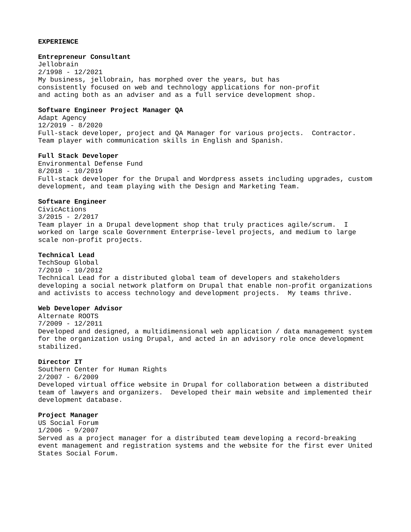# **EXPERIENCE**

## **Entrepreneur Consultant**

Jellobrain 2/1998 - 12/2021 My business, jellobrain, has morphed over the years, but has consistently focused on web and technology applications for non-profit and acting both as an adviser and as a full service development shop.

# **Software Engineer Project Manager QA**

Adapt Agency 12/2019 - 8/2020 Full-stack developer, project and QA Manager for various projects. Contractor. Team player with communication skills in English and Spanish.

## **Full Stack Developer**

Environmental Defense Fund 8/2018 - 10/2019 Full-stack developer for the Drupal and Wordpress assets including upgrades, custom development, and team playing with the Design and Marketing Team.

# **Software Engineer**

CivicActions 3/2015 - 2/2017 Team player in a Drupal development shop that truly practices agile/scrum. I worked on large scale Government Enterprise-level projects, and medium to large scale non-profit projects.

## **Technical Lead**

TechSoup Global 7/2010 - 10/2012 Technical Lead for a distributed global team of developers and stakeholders developing a social network platform on Drupal that enable non-profit organizations and activists to access technology and development projects. My teams thrive.

# **Web Developer Advisor**

Alternate ROOTS 7/2009 - 12/2011 Developed and designed, a multidimensional web application / data management system for the organization using Drupal, and acted in an advisory role once development stabilized.

# **Director IT**

Southern Center for Human Rights 2/2007 - 6/2009 Developed virtual office website in Drupal for collaboration between a distributed team of lawyers and organizers. Developed their main website and implemented their development database.

# **Project Manager**

US Social Forum 1/2006 - 9/2007 Served as a project manager for a distributed team developing a record-breaking event management and registration systems and the website for the first ever United States Social Forum.